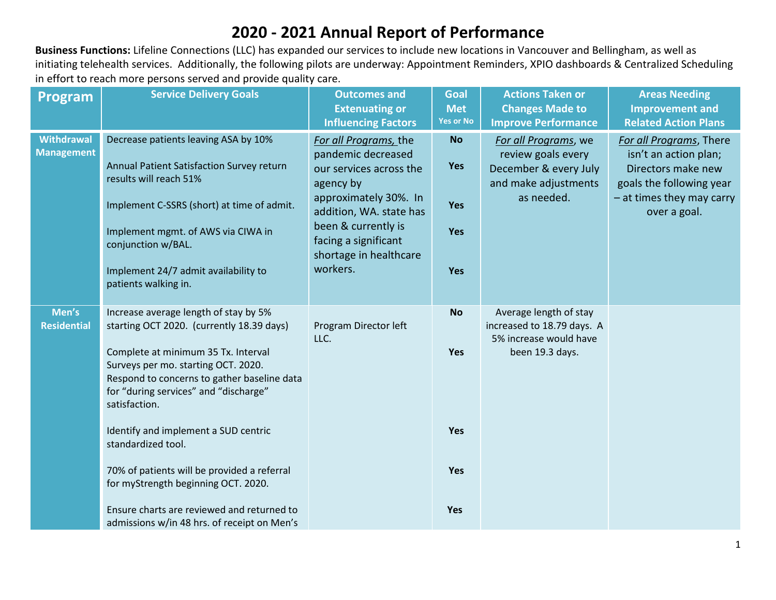## **2020 - 2021 Annual Report of Performance**

**Business Functions:** Lifeline Connections (LLC) has expanded our services to include new locations in Vancouver and Bellingham, as well as initiating telehealth services. Additionally, the following pilots are underway: Appointment Reminders, XPIO dashboards & Centralized Scheduling in effort to reach more persons served and provide quality care.

| <b>Program</b>                         | <b>Service Delivery Goals</b>                                                                                                                                                                                                                                                                                                                                                                                                                                                                                              | <b>Outcomes and</b><br><b>Extenuating or</b><br><b>Influencing Factors</b>                                                                                                                                                   | Goal<br><b>Met</b><br><b>Yes or No</b>              | <b>Actions Taken or</b><br><b>Changes Made to</b><br><b>Improve Performance</b>                           | <b>Areas Needing</b><br><b>Improvement and</b><br><b>Related Action Plans</b>                                                                   |
|----------------------------------------|----------------------------------------------------------------------------------------------------------------------------------------------------------------------------------------------------------------------------------------------------------------------------------------------------------------------------------------------------------------------------------------------------------------------------------------------------------------------------------------------------------------------------|------------------------------------------------------------------------------------------------------------------------------------------------------------------------------------------------------------------------------|-----------------------------------------------------|-----------------------------------------------------------------------------------------------------------|-------------------------------------------------------------------------------------------------------------------------------------------------|
| <b>Withdrawal</b><br><b>Management</b> | Decrease patients leaving ASA by 10%<br>Annual Patient Satisfaction Survey return<br>results will reach 51%<br>Implement C-SSRS (short) at time of admit.<br>Implement mgmt. of AWS via CIWA in<br>conjunction w/BAL.<br>Implement 24/7 admit availability to<br>patients walking in.                                                                                                                                                                                                                                      | For all Programs, the<br>pandemic decreased<br>our services across the<br>agency by<br>approximately 30%. In<br>addition, WA. state has<br>been & currently is<br>facing a significant<br>shortage in healthcare<br>workers. | <b>No</b><br><b>Yes</b><br><b>Yes</b><br>Yes<br>Yes | For all Programs, we<br>review goals every<br>December & every July<br>and make adjustments<br>as needed. | For all Programs, There<br>isn't an action plan;<br>Directors make new<br>goals the following year<br>- at times they may carry<br>over a goal. |
| Men's<br><b>Residential</b>            | Increase average length of stay by 5%<br>starting OCT 2020. (currently 18.39 days)<br>Complete at minimum 35 Tx. Interval<br>Surveys per mo. starting OCT. 2020.<br>Respond to concerns to gather baseline data<br>for "during services" and "discharge"<br>satisfaction.<br>Identify and implement a SUD centric<br>standardized tool.<br>70% of patients will be provided a referral<br>for myStrength beginning OCT. 2020.<br>Ensure charts are reviewed and returned to<br>admissions w/in 48 hrs. of receipt on Men's | Program Director left<br>LLC.                                                                                                                                                                                                | <b>No</b><br>Yes<br>Yes<br>Yes<br>Yes               | Average length of stay<br>increased to 18.79 days. A<br>5% increase would have<br>been 19.3 days.         |                                                                                                                                                 |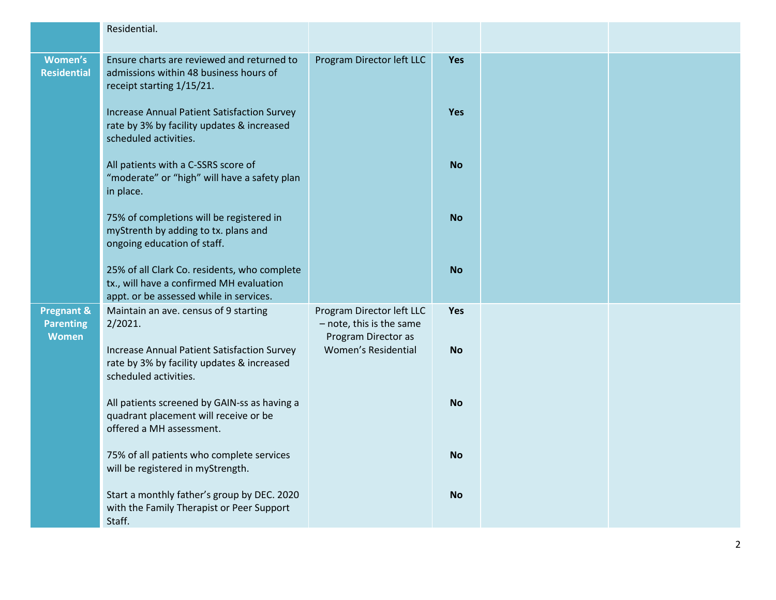|                                                           | Residential.                                                                                                                        |                                                                              |            |  |
|-----------------------------------------------------------|-------------------------------------------------------------------------------------------------------------------------------------|------------------------------------------------------------------------------|------------|--|
| Women's<br><b>Residential</b>                             | Ensure charts are reviewed and returned to<br>admissions within 48 business hours of<br>receipt starting 1/15/21.                   | Program Director left LLC                                                    | <b>Yes</b> |  |
|                                                           | <b>Increase Annual Patient Satisfaction Survey</b><br>rate by 3% by facility updates & increased<br>scheduled activities.           |                                                                              | <b>Yes</b> |  |
|                                                           | All patients with a C-SSRS score of<br>"moderate" or "high" will have a safety plan<br>in place.                                    |                                                                              | <b>No</b>  |  |
|                                                           | 75% of completions will be registered in<br>myStrenth by adding to tx. plans and<br>ongoing education of staff.                     |                                                                              | <b>No</b>  |  |
|                                                           | 25% of all Clark Co. residents, who complete<br>tx., will have a confirmed MH evaluation<br>appt. or be assessed while in services. |                                                                              | <b>No</b>  |  |
| <b>Pregnant &amp;</b><br><b>Parenting</b><br><b>Women</b> | Maintain an ave. census of 9 starting<br>2/2021.                                                                                    | Program Director left LLC<br>- note, this is the same<br>Program Director as | Yes        |  |
|                                                           | <b>Increase Annual Patient Satisfaction Survey</b><br>rate by 3% by facility updates & increased<br>scheduled activities.           | Women's Residential                                                          | <b>No</b>  |  |
|                                                           | All patients screened by GAIN-ss as having a<br>quadrant placement will receive or be<br>offered a MH assessment.                   |                                                                              | <b>No</b>  |  |
|                                                           | 75% of all patients who complete services<br>will be registered in myStrength.                                                      |                                                                              | <b>No</b>  |  |
|                                                           | Start a monthly father's group by DEC. 2020<br>with the Family Therapist or Peer Support<br>Staff.                                  |                                                                              | <b>No</b>  |  |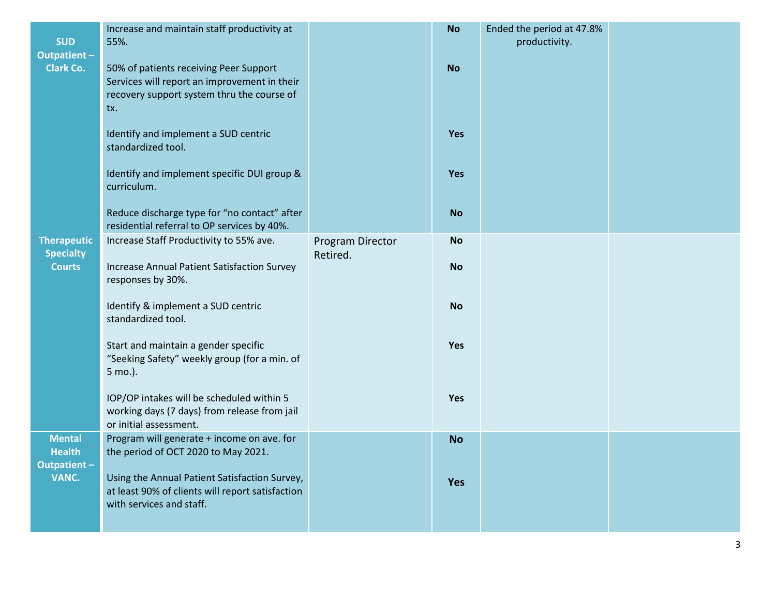|                                        | Increase and maintain staff productivity at                                          |                  | <b>No</b> | Ended the period at 47.8% |  |
|----------------------------------------|--------------------------------------------------------------------------------------|------------------|-----------|---------------------------|--|
| <b>SUD</b><br>Outpatient-              | 55%.                                                                                 |                  |           | productivity.             |  |
| <b>Clark Co.</b>                       | 50% of patients receiving Peer Support                                               |                  | <b>No</b> |                           |  |
|                                        | Services will report an improvement in their                                         |                  |           |                           |  |
|                                        | recovery support system thru the course of<br>tx.                                    |                  |           |                           |  |
|                                        |                                                                                      |                  |           |                           |  |
|                                        | Identify and implement a SUD centric<br>standardized tool.                           |                  | Yes       |                           |  |
|                                        |                                                                                      |                  |           |                           |  |
|                                        | Identify and implement specific DUI group &                                          |                  | Yes       |                           |  |
|                                        | curriculum.                                                                          |                  |           |                           |  |
|                                        | Reduce discharge type for "no contact" after                                         |                  | <b>No</b> |                           |  |
|                                        | residential referral to OP services by 40%.                                          |                  |           |                           |  |
| <b>Therapeutic</b><br><b>Specialty</b> | Increase Staff Productivity to 55% ave.                                              | Program Director | <b>No</b> |                           |  |
| <b>Courts</b>                          | <b>Increase Annual Patient Satisfaction Survey</b>                                   | Retired.         | <b>No</b> |                           |  |
|                                        | responses by 30%.                                                                    |                  |           |                           |  |
|                                        | Identify & implement a SUD centric                                                   |                  | <b>No</b> |                           |  |
|                                        | standardized tool.                                                                   |                  |           |                           |  |
|                                        |                                                                                      |                  |           |                           |  |
|                                        | Start and maintain a gender specific<br>"Seeking Safety" weekly group (for a min. of |                  | Yes       |                           |  |
|                                        | 5 mo.).                                                                              |                  |           |                           |  |
|                                        | IOP/OP intakes will be scheduled within 5                                            |                  | Yes       |                           |  |
|                                        | working days (7 days) from release from jail                                         |                  |           |                           |  |
|                                        | or initial assessment.                                                               |                  |           |                           |  |
| <b>Mental</b><br><b>Health</b>         | Program will generate + income on ave. for<br>the period of OCT 2020 to May 2021.    |                  | <b>No</b> |                           |  |
| Outpatient-                            |                                                                                      |                  |           |                           |  |
| VANC.                                  | Using the Annual Patient Satisfaction Survey,                                        |                  | Yes       |                           |  |
|                                        | at least 90% of clients will report satisfaction<br>with services and staff.         |                  |           |                           |  |
|                                        |                                                                                      |                  |           |                           |  |
|                                        |                                                                                      |                  |           |                           |  |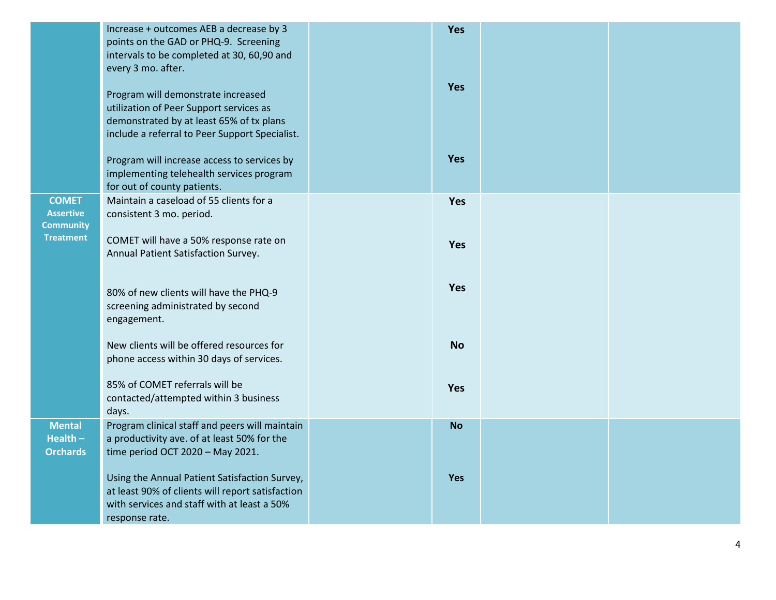|                                                      | Increase + outcomes AEB a decrease by 3<br>points on the GAD or PHQ-9. Screening<br>intervals to be completed at 30, 60,90 and<br>every 3 mo. after.                        | Yes        |  |
|------------------------------------------------------|-----------------------------------------------------------------------------------------------------------------------------------------------------------------------------|------------|--|
|                                                      | Program will demonstrate increased<br>utilization of Peer Support services as<br>demonstrated by at least 65% of tx plans<br>include a referral to Peer Support Specialist. | <b>Yes</b> |  |
|                                                      | Program will increase access to services by<br>implementing telehealth services program<br>for out of county patients.                                                      | <b>Yes</b> |  |
| <b>COMET</b><br><b>Assertive</b><br><b>Community</b> | Maintain a caseload of 55 clients for a<br>consistent 3 mo. period.                                                                                                         | Yes        |  |
| <b>Treatment</b>                                     | COMET will have a 50% response rate on<br>Annual Patient Satisfaction Survey.                                                                                               | Yes        |  |
|                                                      | 80% of new clients will have the PHQ-9<br>screening administrated by second<br>engagement.                                                                                  | Yes        |  |
|                                                      | New clients will be offered resources for<br>phone access within 30 days of services.                                                                                       | <b>No</b>  |  |
|                                                      | 85% of COMET referrals will be<br>contacted/attempted within 3 business<br>days.                                                                                            | <b>Yes</b> |  |
| <b>Mental</b><br>Health $-$<br><b>Orchards</b>       | Program clinical staff and peers will maintain<br>a productivity ave. of at least 50% for the<br>time period OCT 2020 - May 2021.                                           | <b>No</b>  |  |
|                                                      | Using the Annual Patient Satisfaction Survey,<br>at least 90% of clients will report satisfaction<br>with services and staff with at least a 50%<br>response rate.          | <b>Yes</b> |  |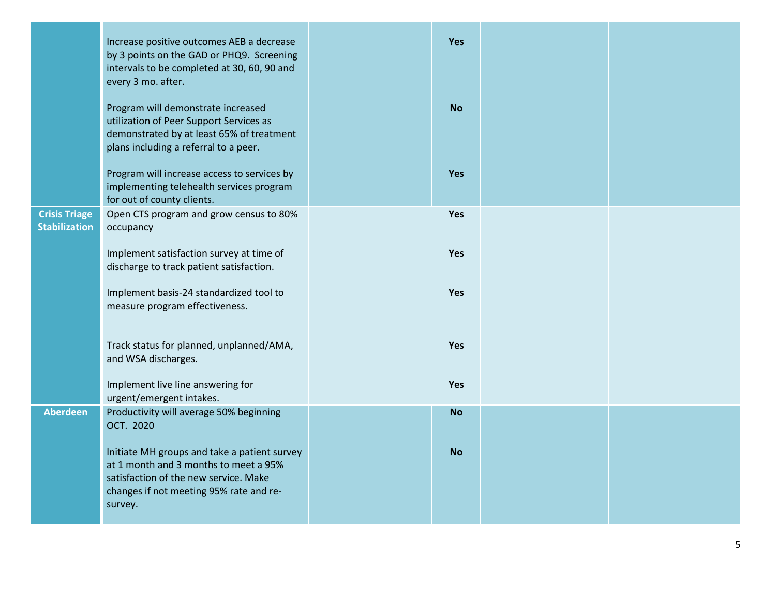|                                              | Increase positive outcomes AEB a decrease<br>by 3 points on the GAD or PHQ9. Screening<br>intervals to be completed at 30, 60, 90 and<br>every 3 mo. after.                          | Yes        |  |
|----------------------------------------------|--------------------------------------------------------------------------------------------------------------------------------------------------------------------------------------|------------|--|
|                                              | Program will demonstrate increased<br>utilization of Peer Support Services as<br>demonstrated by at least 65% of treatment<br>plans including a referral to a peer.                  | <b>No</b>  |  |
|                                              | Program will increase access to services by<br>implementing telehealth services program<br>for out of county clients.                                                                | <b>Yes</b> |  |
| <b>Crisis Triage</b><br><b>Stabilization</b> | Open CTS program and grow census to 80%<br>occupancy                                                                                                                                 | Yes        |  |
|                                              | Implement satisfaction survey at time of<br>discharge to track patient satisfaction.                                                                                                 | Yes        |  |
|                                              | Implement basis-24 standardized tool to<br>measure program effectiveness.                                                                                                            | <b>Yes</b> |  |
|                                              | Track status for planned, unplanned/AMA,<br>and WSA discharges.                                                                                                                      | <b>Yes</b> |  |
|                                              | Implement live line answering for<br>urgent/emergent intakes.                                                                                                                        | Yes        |  |
| <b>Aberdeen</b>                              | Productivity will average 50% beginning<br>OCT. 2020                                                                                                                                 | <b>No</b>  |  |
|                                              | Initiate MH groups and take a patient survey<br>at 1 month and 3 months to meet a 95%<br>satisfaction of the new service. Make<br>changes if not meeting 95% rate and re-<br>survey. | <b>No</b>  |  |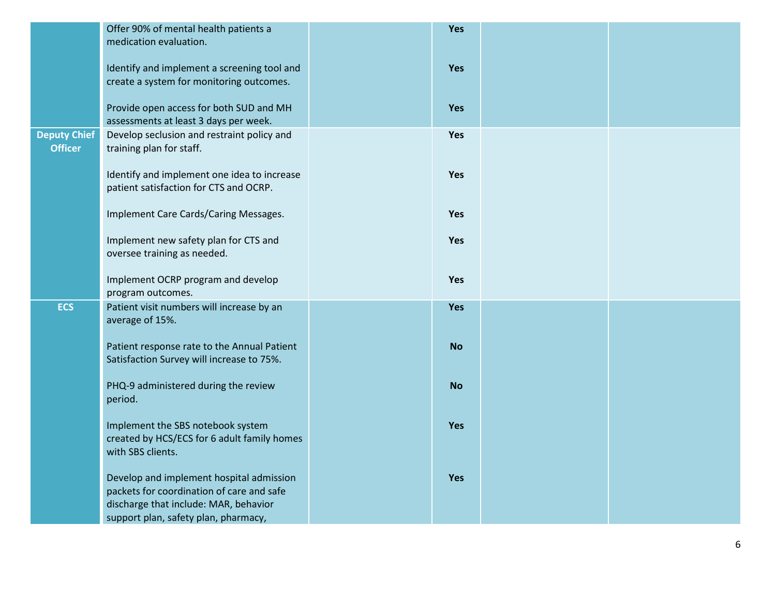|                     | Offer 90% of mental health patients a                                            | Yes        |  |
|---------------------|----------------------------------------------------------------------------------|------------|--|
|                     | medication evaluation.                                                           |            |  |
|                     |                                                                                  |            |  |
|                     | Identify and implement a screening tool and                                      | Yes        |  |
|                     | create a system for monitoring outcomes.                                         |            |  |
|                     |                                                                                  |            |  |
|                     | Provide open access for both SUD and MH<br>assessments at least 3 days per week. | Yes        |  |
| <b>Deputy Chief</b> | Develop seclusion and restraint policy and                                       | Yes        |  |
| <b>Officer</b>      | training plan for staff.                                                         |            |  |
|                     |                                                                                  |            |  |
|                     | Identify and implement one idea to increase                                      | Yes        |  |
|                     | patient satisfaction for CTS and OCRP.                                           |            |  |
|                     |                                                                                  |            |  |
|                     | Implement Care Cards/Caring Messages.                                            | Yes        |  |
|                     |                                                                                  |            |  |
|                     | Implement new safety plan for CTS and                                            | Yes        |  |
|                     | oversee training as needed.                                                      |            |  |
|                     | Implement OCRP program and develop                                               | Yes        |  |
|                     | program outcomes.                                                                |            |  |
| <b>ECS</b>          | Patient visit numbers will increase by an                                        | <b>Yes</b> |  |
|                     | average of 15%.                                                                  |            |  |
|                     |                                                                                  |            |  |
|                     | Patient response rate to the Annual Patient                                      | <b>No</b>  |  |
|                     | Satisfaction Survey will increase to 75%.                                        |            |  |
|                     |                                                                                  |            |  |
|                     | PHQ-9 administered during the review                                             | <b>No</b>  |  |
|                     | period.                                                                          |            |  |
|                     | Implement the SBS notebook system                                                | <b>Yes</b> |  |
|                     | created by HCS/ECS for 6 adult family homes                                      |            |  |
|                     | with SBS clients.                                                                |            |  |
|                     |                                                                                  |            |  |
|                     | Develop and implement hospital admission                                         | Yes        |  |
|                     | packets for coordination of care and safe                                        |            |  |
|                     | discharge that include: MAR, behavior                                            |            |  |
|                     | support plan, safety plan, pharmacy,                                             |            |  |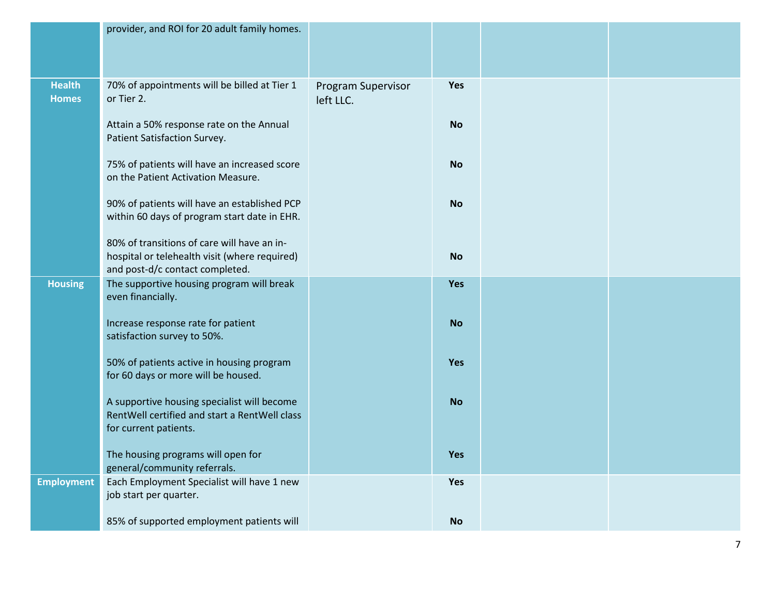|                               | provider, and ROI for 20 adult family homes.                                                                                    |                                 |            |  |
|-------------------------------|---------------------------------------------------------------------------------------------------------------------------------|---------------------------------|------------|--|
| <b>Health</b><br><b>Homes</b> | 70% of appointments will be billed at Tier 1<br>or Tier 2.                                                                      | Program Supervisor<br>left LLC. | Yes        |  |
|                               | Attain a 50% response rate on the Annual<br>Patient Satisfaction Survey.                                                        |                                 | <b>No</b>  |  |
|                               | 75% of patients will have an increased score<br>on the Patient Activation Measure.                                              |                                 | <b>No</b>  |  |
|                               | 90% of patients will have an established PCP<br>within 60 days of program start date in EHR.                                    |                                 | <b>No</b>  |  |
|                               | 80% of transitions of care will have an in-<br>hospital or telehealth visit (where required)<br>and post-d/c contact completed. |                                 | <b>No</b>  |  |
| <b>Housing</b>                | The supportive housing program will break<br>even financially.                                                                  |                                 | Yes        |  |
|                               | Increase response rate for patient<br>satisfaction survey to 50%.                                                               |                                 | <b>No</b>  |  |
|                               | 50% of patients active in housing program<br>for 60 days or more will be housed.                                                |                                 | Yes        |  |
|                               | A supportive housing specialist will become<br>RentWell certified and start a RentWell class<br>for current patients.           |                                 | <b>No</b>  |  |
|                               | The housing programs will open for<br>general/community referrals.                                                              |                                 | <b>Yes</b> |  |
| <b>Employment</b>             | Each Employment Specialist will have 1 new<br>job start per quarter.                                                            |                                 | <b>Yes</b> |  |
|                               | 85% of supported employment patients will                                                                                       |                                 | <b>No</b>  |  |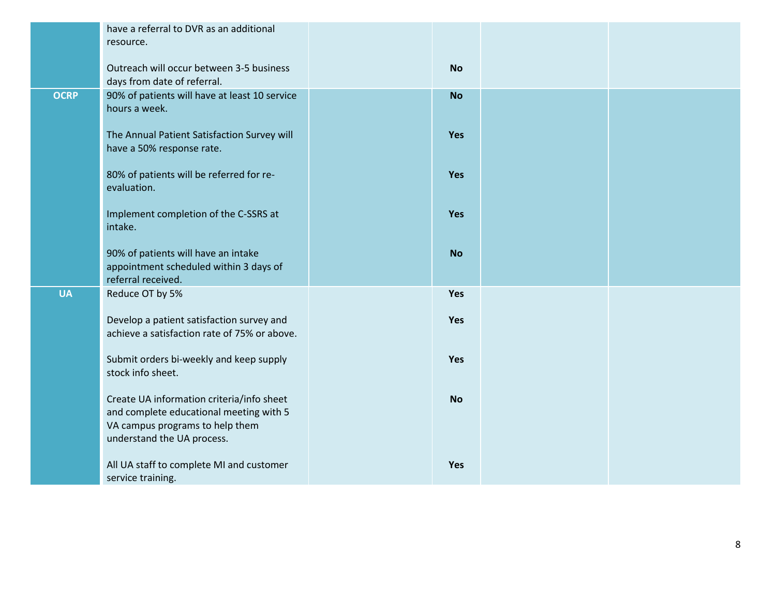|             | have a referral to DVR as an additional<br>resource.                                                                                                  |           |  |
|-------------|-------------------------------------------------------------------------------------------------------------------------------------------------------|-----------|--|
|             | Outreach will occur between 3-5 business<br>days from date of referral.                                                                               | <b>No</b> |  |
| <b>OCRP</b> | 90% of patients will have at least 10 service<br>hours a week.                                                                                        | <b>No</b> |  |
|             | The Annual Patient Satisfaction Survey will<br>have a 50% response rate.                                                                              | Yes       |  |
|             | 80% of patients will be referred for re-<br>evaluation.                                                                                               | Yes       |  |
|             | Implement completion of the C-SSRS at<br>intake.                                                                                                      | Yes       |  |
|             | 90% of patients will have an intake<br>appointment scheduled within 3 days of<br>referral received.                                                   | <b>No</b> |  |
| <b>UA</b>   | Reduce OT by 5%                                                                                                                                       | Yes       |  |
|             | Develop a patient satisfaction survey and<br>achieve a satisfaction rate of 75% or above.                                                             | Yes       |  |
|             | Submit orders bi-weekly and keep supply<br>stock info sheet.                                                                                          | Yes       |  |
|             | Create UA information criteria/info sheet<br>and complete educational meeting with 5<br>VA campus programs to help them<br>understand the UA process. | <b>No</b> |  |
|             | All UA staff to complete MI and customer<br>service training.                                                                                         | Yes       |  |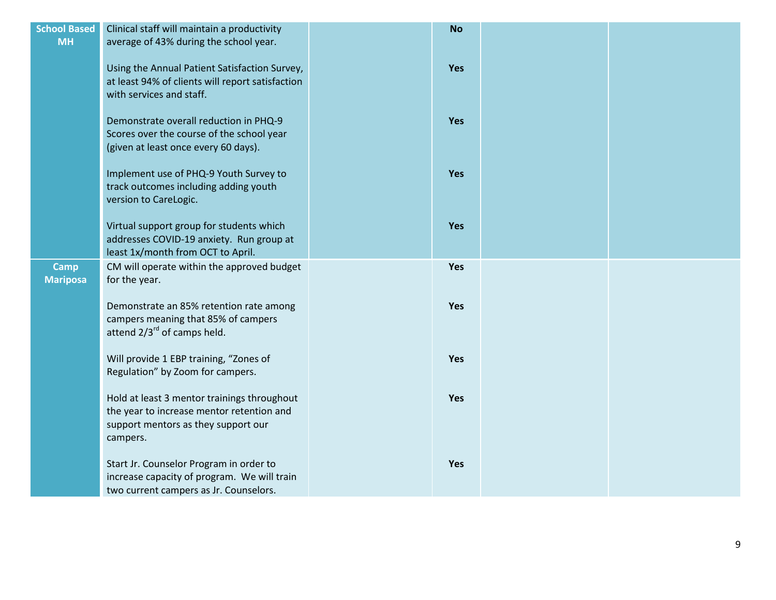| <b>School Based</b><br><b>MH</b> | Clinical staff will maintain a productivity<br>average of 43% during the school year.                                                       | <b>No</b>  |  |
|----------------------------------|---------------------------------------------------------------------------------------------------------------------------------------------|------------|--|
|                                  | Using the Annual Patient Satisfaction Survey,<br>at least 94% of clients will report satisfaction<br>with services and staff.               | Yes        |  |
|                                  | Demonstrate overall reduction in PHQ-9<br>Scores over the course of the school year<br>(given at least once every 60 days).                 | Yes        |  |
|                                  | Implement use of PHQ-9 Youth Survey to<br>track outcomes including adding youth<br>version to CareLogic.                                    | Yes        |  |
|                                  | Virtual support group for students which<br>addresses COVID-19 anxiety. Run group at<br>least 1x/month from OCT to April.                   | Yes        |  |
| <b>Camp</b><br><b>Mariposa</b>   | CM will operate within the approved budget<br>for the year.                                                                                 | Yes        |  |
|                                  | Demonstrate an 85% retention rate among<br>campers meaning that 85% of campers<br>attend 2/3 <sup>rd</sup> of camps held.                   | <b>Yes</b> |  |
|                                  | Will provide 1 EBP training, "Zones of<br>Regulation" by Zoom for campers.                                                                  | Yes        |  |
|                                  | Hold at least 3 mentor trainings throughout<br>the year to increase mentor retention and<br>support mentors as they support our<br>campers. | Yes        |  |
|                                  | Start Jr. Counselor Program in order to<br>increase capacity of program. We will train<br>two current campers as Jr. Counselors.            | Yes        |  |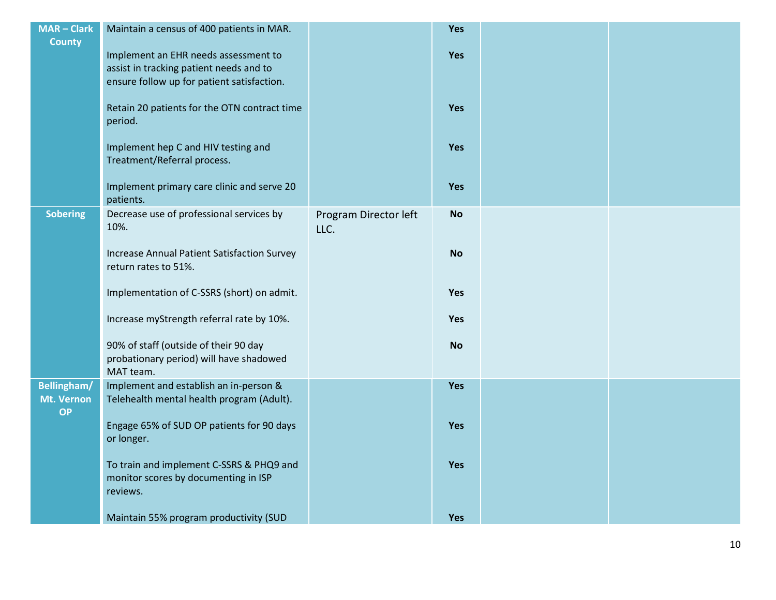| $MAR - Clark$   | Maintain a census of 400 patients in MAR.                                                    |                               | Yes       |  |
|-----------------|----------------------------------------------------------------------------------------------|-------------------------------|-----------|--|
| <b>County</b>   |                                                                                              |                               |           |  |
|                 | Implement an EHR needs assessment to                                                         |                               | Yes       |  |
|                 | assist in tracking patient needs and to                                                      |                               |           |  |
|                 | ensure follow up for patient satisfaction.                                                   |                               |           |  |
|                 | Retain 20 patients for the OTN contract time<br>period.                                      |                               | Yes       |  |
|                 | Implement hep C and HIV testing and<br>Treatment/Referral process.                           |                               | Yes       |  |
|                 | Implement primary care clinic and serve 20                                                   |                               | Yes       |  |
|                 | patients.                                                                                    |                               |           |  |
| <b>Sobering</b> | Decrease use of professional services by<br>10%.                                             | Program Director left<br>LLC. | <b>No</b> |  |
|                 | Increase Annual Patient Satisfaction Survey<br>return rates to 51%.                          |                               | <b>No</b> |  |
|                 | Implementation of C-SSRS (short) on admit.                                                   |                               | Yes       |  |
|                 | Increase myStrength referral rate by 10%.                                                    |                               | Yes       |  |
|                 | 90% of staff (outside of their 90 day                                                        |                               | <b>No</b> |  |
|                 | probationary period) will have shadowed<br>MAT team.                                         |                               |           |  |
| Bellingham/     | Implement and establish an in-person &                                                       |                               | Yes       |  |
| Mt. Vernon      | Telehealth mental health program (Adult).                                                    |                               |           |  |
| <b>OP</b>       |                                                                                              |                               |           |  |
|                 | Engage 65% of SUD OP patients for 90 days<br>or longer.                                      |                               | Yes       |  |
|                 | To train and implement C-SSRS & PHQ9 and<br>monitor scores by documenting in ISP<br>reviews. |                               | Yes       |  |
|                 | Maintain 55% program productivity (SUD                                                       |                               | Yes       |  |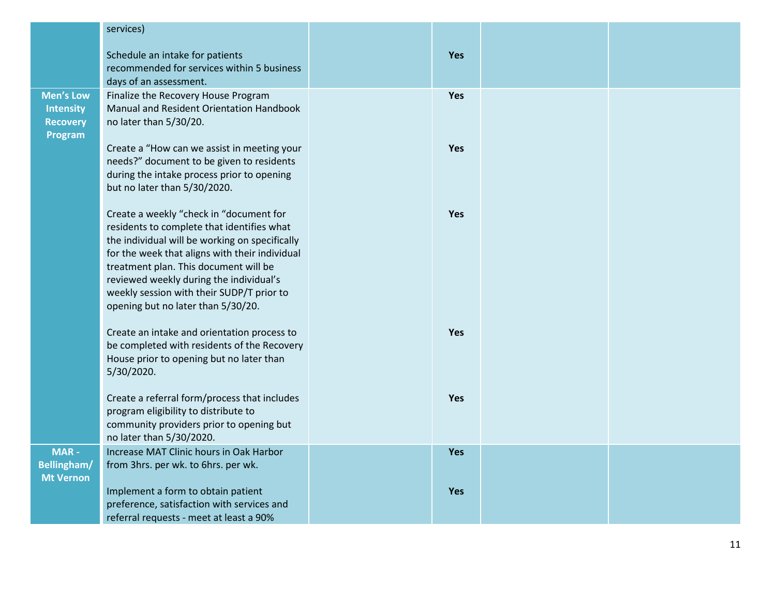|                  | services)                                                                               |            |  |
|------------------|-----------------------------------------------------------------------------------------|------------|--|
|                  | Schedule an intake for patients                                                         | <b>Yes</b> |  |
|                  | recommended for services within 5 business                                              |            |  |
|                  | days of an assessment.                                                                  |            |  |
| <b>Men's Low</b> | Finalize the Recovery House Program                                                     | Yes        |  |
| Intensity        | Manual and Resident Orientation Handbook                                                |            |  |
| <b>Recovery</b>  | no later than 5/30/20.                                                                  |            |  |
| Program          |                                                                                         |            |  |
|                  | Create a "How can we assist in meeting your                                             | Yes        |  |
|                  | needs?" document to be given to residents<br>during the intake process prior to opening |            |  |
|                  | but no later than 5/30/2020.                                                            |            |  |
|                  |                                                                                         |            |  |
|                  | Create a weekly "check in "document for                                                 | Yes        |  |
|                  | residents to complete that identifies what                                              |            |  |
|                  | the individual will be working on specifically                                          |            |  |
|                  | for the week that aligns with their individual                                          |            |  |
|                  | treatment plan. This document will be                                                   |            |  |
|                  | reviewed weekly during the individual's<br>weekly session with their SUDP/T prior to    |            |  |
|                  | opening but no later than 5/30/20.                                                      |            |  |
|                  |                                                                                         |            |  |
|                  | Create an intake and orientation process to                                             | Yes        |  |
|                  | be completed with residents of the Recovery                                             |            |  |
|                  | House prior to opening but no later than                                                |            |  |
|                  | 5/30/2020.                                                                              |            |  |
|                  | Create a referral form/process that includes                                            | Yes        |  |
|                  | program eligibility to distribute to                                                    |            |  |
|                  | community providers prior to opening but                                                |            |  |
|                  | no later than 5/30/2020.                                                                |            |  |
| <b>MAR-</b>      | Increase MAT Clinic hours in Oak Harbor                                                 | <b>Yes</b> |  |
| Bellingham/      | from 3hrs. per wk. to 6hrs. per wk.                                                     |            |  |
| <b>Mt Vernon</b> |                                                                                         |            |  |
|                  | Implement a form to obtain patient                                                      | Yes        |  |
|                  | preference, satisfaction with services and<br>referral requests - meet at least a 90%   |            |  |
|                  |                                                                                         |            |  |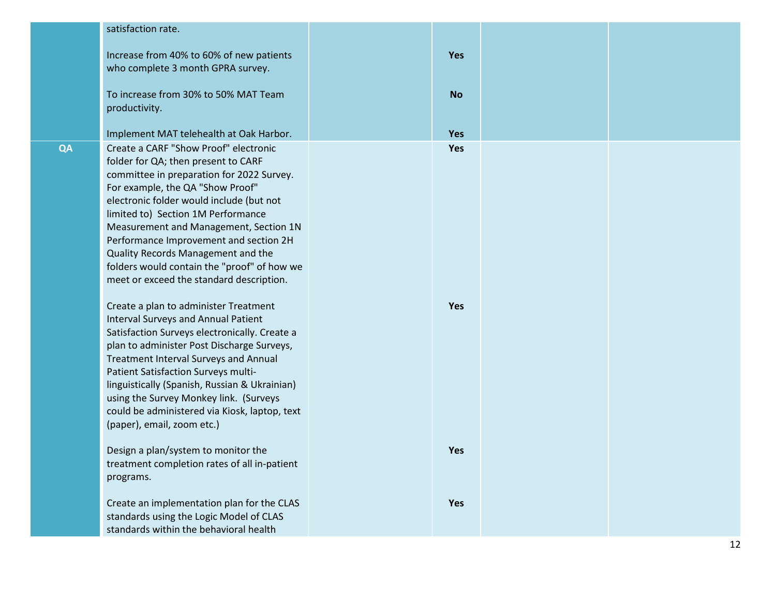|    | satisfaction rate.                                                                                                                                                                                                                                                                                                                                                                                                                                                   |            |  |
|----|----------------------------------------------------------------------------------------------------------------------------------------------------------------------------------------------------------------------------------------------------------------------------------------------------------------------------------------------------------------------------------------------------------------------------------------------------------------------|------------|--|
|    | Increase from 40% to 60% of new patients                                                                                                                                                                                                                                                                                                                                                                                                                             | Yes        |  |
|    | who complete 3 month GPRA survey.                                                                                                                                                                                                                                                                                                                                                                                                                                    |            |  |
|    | To increase from 30% to 50% MAT Team<br>productivity.                                                                                                                                                                                                                                                                                                                                                                                                                | <b>No</b>  |  |
|    |                                                                                                                                                                                                                                                                                                                                                                                                                                                                      |            |  |
|    | Implement MAT telehealth at Oak Harbor.                                                                                                                                                                                                                                                                                                                                                                                                                              | <b>Yes</b> |  |
| QA | Create a CARF "Show Proof" electronic<br>folder for QA; then present to CARF<br>committee in preparation for 2022 Survey.<br>For example, the QA "Show Proof"<br>electronic folder would include (but not<br>limited to) Section 1M Performance<br>Measurement and Management, Section 1N<br>Performance Improvement and section 2H<br>Quality Records Management and the<br>folders would contain the "proof" of how we<br>meet or exceed the standard description. | <b>Yes</b> |  |
|    | Create a plan to administer Treatment<br><b>Interval Surveys and Annual Patient</b><br>Satisfaction Surveys electronically. Create a<br>plan to administer Post Discharge Surveys,<br>Treatment Interval Surveys and Annual<br>Patient Satisfaction Surveys multi-<br>linguistically (Spanish, Russian & Ukrainian)<br>using the Survey Monkey link. (Surveys<br>could be administered via Kiosk, laptop, text<br>(paper), email, zoom etc.)                         | <b>Yes</b> |  |
|    | Design a plan/system to monitor the<br>treatment completion rates of all in-patient<br>programs.                                                                                                                                                                                                                                                                                                                                                                     | Yes        |  |
|    | Create an implementation plan for the CLAS<br>standards using the Logic Model of CLAS<br>standards within the behavioral health                                                                                                                                                                                                                                                                                                                                      | Yes        |  |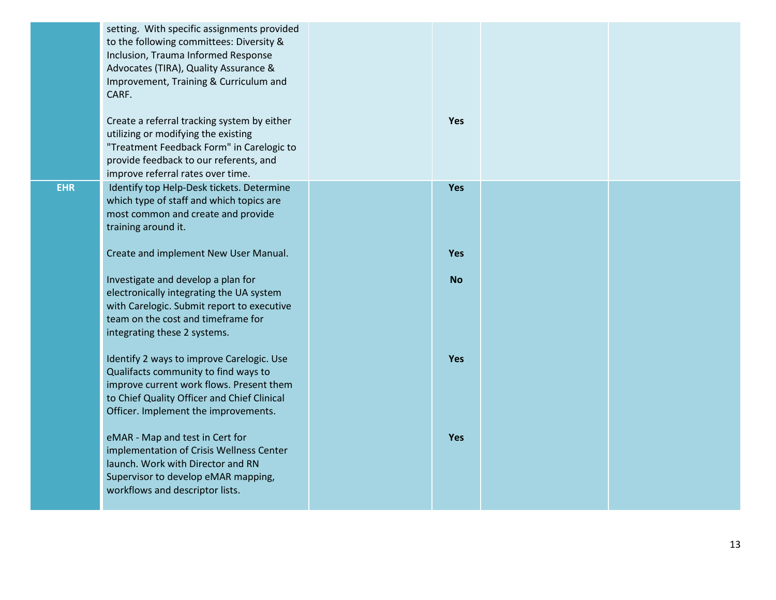|            | setting. With specific assignments provided<br>to the following committees: Diversity &<br>Inclusion, Trauma Informed Response<br>Advocates (TIRA), Quality Assurance &<br>Improvement, Training & Curriculum and<br>CARF.<br>Create a referral tracking system by either<br>utilizing or modifying the existing<br>"Treatment Feedback Form" in Carelogic to<br>provide feedback to our referents, and | Yes       |  |
|------------|---------------------------------------------------------------------------------------------------------------------------------------------------------------------------------------------------------------------------------------------------------------------------------------------------------------------------------------------------------------------------------------------------------|-----------|--|
|            | improve referral rates over time.                                                                                                                                                                                                                                                                                                                                                                       |           |  |
| <b>EHR</b> | Identify top Help-Desk tickets. Determine<br>which type of staff and which topics are<br>most common and create and provide<br>training around it.                                                                                                                                                                                                                                                      | Yes       |  |
|            | Create and implement New User Manual.                                                                                                                                                                                                                                                                                                                                                                   | Yes       |  |
|            | Investigate and develop a plan for<br>electronically integrating the UA system<br>with Carelogic. Submit report to executive<br>team on the cost and timeframe for<br>integrating these 2 systems.                                                                                                                                                                                                      | <b>No</b> |  |
|            | Identify 2 ways to improve Carelogic. Use<br>Qualifacts community to find ways to<br>improve current work flows. Present them<br>to Chief Quality Officer and Chief Clinical<br>Officer. Implement the improvements.                                                                                                                                                                                    | Yes       |  |
|            | eMAR - Map and test in Cert for<br>implementation of Crisis Wellness Center<br>launch. Work with Director and RN<br>Supervisor to develop eMAR mapping,<br>workflows and descriptor lists.                                                                                                                                                                                                              | Yes       |  |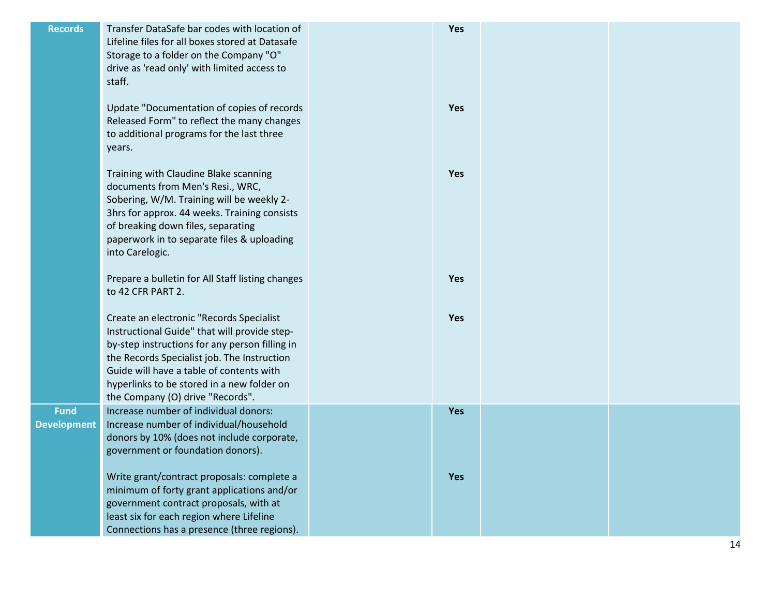| <b>Records</b>                    | Transfer DataSafe bar codes with location of<br>Lifeline files for all boxes stored at Datasafe<br>Storage to a folder on the Company "O"<br>drive as 'read only' with limited access to<br>staff.                                                                                                                      | Yes |  |
|-----------------------------------|-------------------------------------------------------------------------------------------------------------------------------------------------------------------------------------------------------------------------------------------------------------------------------------------------------------------------|-----|--|
|                                   | Update "Documentation of copies of records<br>Released Form" to reflect the many changes<br>to additional programs for the last three<br>years.                                                                                                                                                                         | Yes |  |
|                                   | Training with Claudine Blake scanning<br>documents from Men's Resi., WRC,<br>Sobering, W/M. Training will be weekly 2-<br>3hrs for approx. 44 weeks. Training consists<br>of breaking down files, separating<br>paperwork in to separate files & uploading<br>into Carelogic.                                           | Yes |  |
|                                   | Prepare a bulletin for All Staff listing changes<br>to 42 CFR PART 2.                                                                                                                                                                                                                                                   | Yes |  |
|                                   | Create an electronic "Records Specialist<br>Instructional Guide" that will provide step-<br>by-step instructions for any person filling in<br>the Records Specialist job. The Instruction<br>Guide will have a table of contents with<br>hyperlinks to be stored in a new folder on<br>the Company (O) drive "Records". | Yes |  |
| <b>Fund</b><br><b>Development</b> | Increase number of individual donors:<br>Increase number of individual/household<br>donors by 10% (does not include corporate,<br>government or foundation donors).                                                                                                                                                     | Yes |  |
|                                   | Write grant/contract proposals: complete a<br>minimum of forty grant applications and/or<br>government contract proposals, with at<br>least six for each region where Lifeline<br>Connections has a presence (three regions).                                                                                           | Yes |  |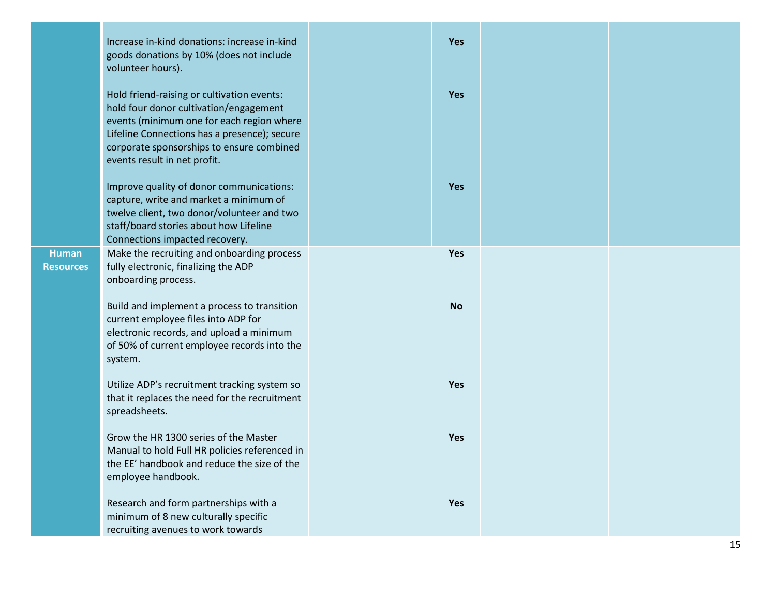|                                  | Increase in-kind donations: increase in-kind<br>goods donations by 10% (does not include<br>volunteer hours).                                                                                                                                                  | <b>Yes</b> |  |
|----------------------------------|----------------------------------------------------------------------------------------------------------------------------------------------------------------------------------------------------------------------------------------------------------------|------------|--|
|                                  | Hold friend-raising or cultivation events:<br>hold four donor cultivation/engagement<br>events (minimum one for each region where<br>Lifeline Connections has a presence); secure<br>corporate sponsorships to ensure combined<br>events result in net profit. | <b>Yes</b> |  |
|                                  | Improve quality of donor communications:<br>capture, write and market a minimum of<br>twelve client, two donor/volunteer and two<br>staff/board stories about how Lifeline<br>Connections impacted recovery.                                                   | <b>Yes</b> |  |
| <b>Human</b><br><b>Resources</b> | Make the recruiting and onboarding process<br>fully electronic, finalizing the ADP<br>onboarding process.                                                                                                                                                      | Yes        |  |
|                                  | Build and implement a process to transition<br>current employee files into ADP for<br>electronic records, and upload a minimum<br>of 50% of current employee records into the<br>system.                                                                       | <b>No</b>  |  |
|                                  | Utilize ADP's recruitment tracking system so<br>that it replaces the need for the recruitment<br>spreadsheets.                                                                                                                                                 | Yes        |  |
|                                  | Grow the HR 1300 series of the Master<br>Manual to hold Full HR policies referenced in<br>the EE' handbook and reduce the size of the<br>employee handbook.                                                                                                    | <b>Yes</b> |  |
|                                  | Research and form partnerships with a<br>minimum of 8 new culturally specific<br>recruiting avenues to work towards                                                                                                                                            | Yes        |  |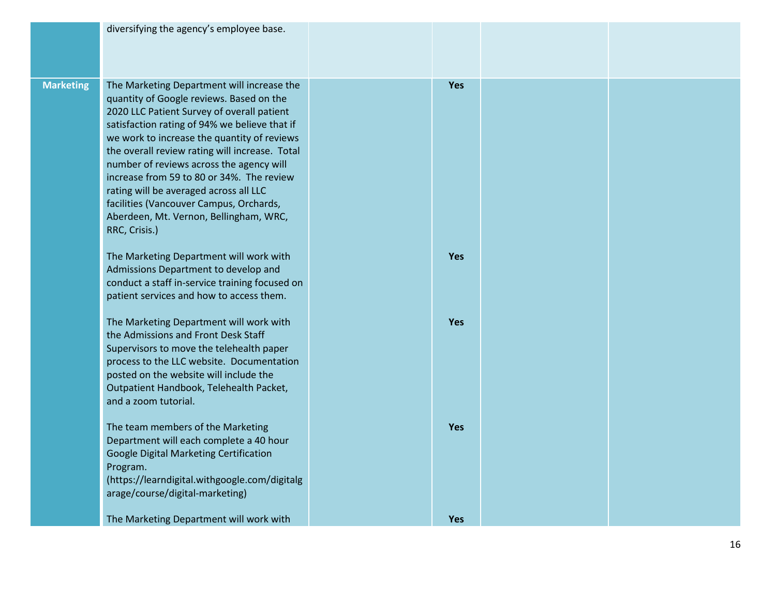|                  | diversifying the agency's employee base.                                                                                                                                                                                                                                                                                                                                                                                                                                                                                        |            |  |
|------------------|---------------------------------------------------------------------------------------------------------------------------------------------------------------------------------------------------------------------------------------------------------------------------------------------------------------------------------------------------------------------------------------------------------------------------------------------------------------------------------------------------------------------------------|------------|--|
| <b>Marketing</b> | The Marketing Department will increase the<br>quantity of Google reviews. Based on the<br>2020 LLC Patient Survey of overall patient<br>satisfaction rating of 94% we believe that if<br>we work to increase the quantity of reviews<br>the overall review rating will increase. Total<br>number of reviews across the agency will<br>increase from 59 to 80 or 34%. The review<br>rating will be averaged across all LLC<br>facilities (Vancouver Campus, Orchards,<br>Aberdeen, Mt. Vernon, Bellingham, WRC,<br>RRC, Crisis.) | Yes        |  |
|                  | The Marketing Department will work with<br>Admissions Department to develop and<br>conduct a staff in-service training focused on<br>patient services and how to access them.                                                                                                                                                                                                                                                                                                                                                   | <b>Yes</b> |  |
|                  | The Marketing Department will work with<br>the Admissions and Front Desk Staff<br>Supervisors to move the telehealth paper<br>process to the LLC website. Documentation<br>posted on the website will include the<br>Outpatient Handbook, Telehealth Packet,<br>and a zoom tutorial.                                                                                                                                                                                                                                            | <b>Yes</b> |  |
|                  | The team members of the Marketing<br>Department will each complete a 40 hour<br>Google Digital Marketing Certification<br>Program.<br>(https://learndigital.withgoogle.com/digitalg<br>arage/course/digital-marketing)                                                                                                                                                                                                                                                                                                          | <b>Yes</b> |  |
|                  | The Marketing Department will work with                                                                                                                                                                                                                                                                                                                                                                                                                                                                                         | <b>Yes</b> |  |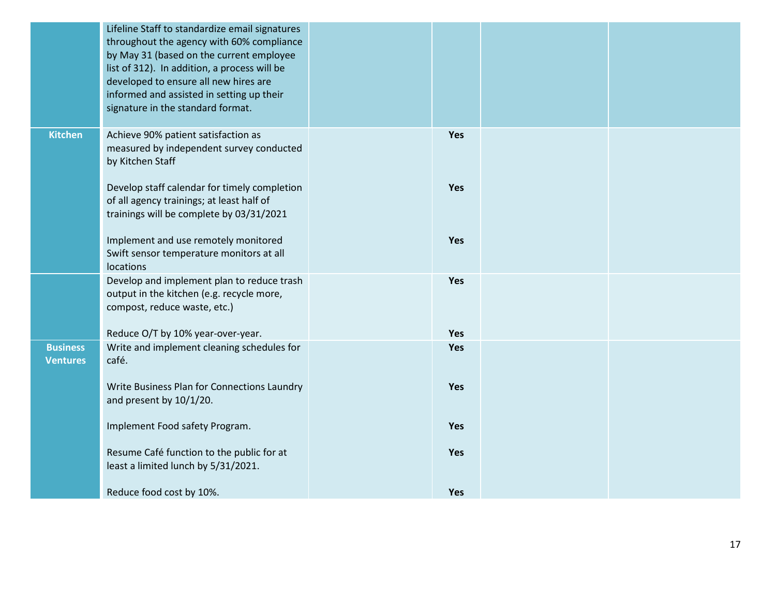|                                    | Lifeline Staff to standardize email signatures<br>throughout the agency with 60% compliance<br>by May 31 (based on the current employee<br>list of 312). In addition, a process will be<br>developed to ensure all new hires are<br>informed and assisted in setting up their<br>signature in the standard format. |     |  |
|------------------------------------|--------------------------------------------------------------------------------------------------------------------------------------------------------------------------------------------------------------------------------------------------------------------------------------------------------------------|-----|--|
| <b>Kitchen</b>                     | Achieve 90% patient satisfaction as<br>measured by independent survey conducted<br>by Kitchen Staff                                                                                                                                                                                                                | Yes |  |
|                                    | Develop staff calendar for timely completion<br>of all agency trainings; at least half of<br>trainings will be complete by 03/31/2021                                                                                                                                                                              | Yes |  |
|                                    | Implement and use remotely monitored<br>Swift sensor temperature monitors at all<br>locations                                                                                                                                                                                                                      | Yes |  |
|                                    | Develop and implement plan to reduce trash<br>output in the kitchen (e.g. recycle more,<br>compost, reduce waste, etc.)                                                                                                                                                                                            | Yes |  |
|                                    | Reduce O/T by 10% year-over-year.                                                                                                                                                                                                                                                                                  | Yes |  |
| <b>Business</b><br><b>Ventures</b> | Write and implement cleaning schedules for<br>café.                                                                                                                                                                                                                                                                | Yes |  |
|                                    | Write Business Plan for Connections Laundry<br>and present by 10/1/20.                                                                                                                                                                                                                                             | Yes |  |
|                                    | Implement Food safety Program.                                                                                                                                                                                                                                                                                     | Yes |  |
|                                    | Resume Café function to the public for at<br>least a limited lunch by 5/31/2021.                                                                                                                                                                                                                                   | Yes |  |
|                                    | Reduce food cost by 10%.                                                                                                                                                                                                                                                                                           | Yes |  |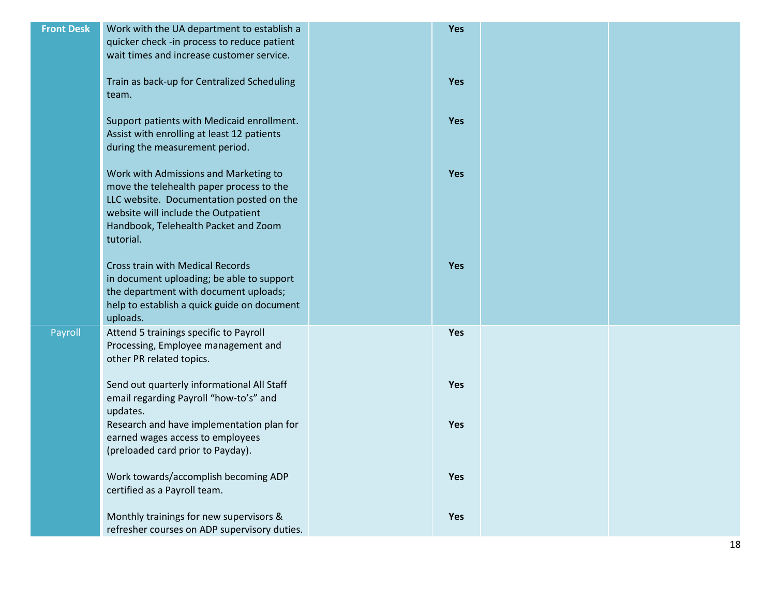| <b>Front Desk</b> | Work with the UA department to establish a<br>quicker check -in process to reduce patient<br>wait times and increase customer service.                                                                                    | Yes        |  |
|-------------------|---------------------------------------------------------------------------------------------------------------------------------------------------------------------------------------------------------------------------|------------|--|
|                   | Train as back-up for Centralized Scheduling<br>team.                                                                                                                                                                      | Yes        |  |
|                   | Support patients with Medicaid enrollment.<br>Assist with enrolling at least 12 patients<br>during the measurement period.                                                                                                | Yes        |  |
|                   | Work with Admissions and Marketing to<br>move the telehealth paper process to the<br>LLC website. Documentation posted on the<br>website will include the Outpatient<br>Handbook, Telehealth Packet and Zoom<br>tutorial. | Yes        |  |
|                   | <b>Cross train with Medical Records</b><br>in document uploading; be able to support<br>the department with document uploads;<br>help to establish a quick guide on document<br>uploads.                                  | <b>Yes</b> |  |
| Payroll           | Attend 5 trainings specific to Payroll<br>Processing, Employee management and<br>other PR related topics.                                                                                                                 | Yes        |  |
|                   | Send out quarterly informational All Staff<br>email regarding Payroll "how-to's" and<br>updates.                                                                                                                          | Yes        |  |
|                   | Research and have implementation plan for<br>earned wages access to employees<br>(preloaded card prior to Payday).                                                                                                        | Yes        |  |
|                   | Work towards/accomplish becoming ADP<br>certified as a Payroll team.                                                                                                                                                      | Yes        |  |
|                   | Monthly trainings for new supervisors &<br>refresher courses on ADP supervisory duties.                                                                                                                                   | Yes        |  |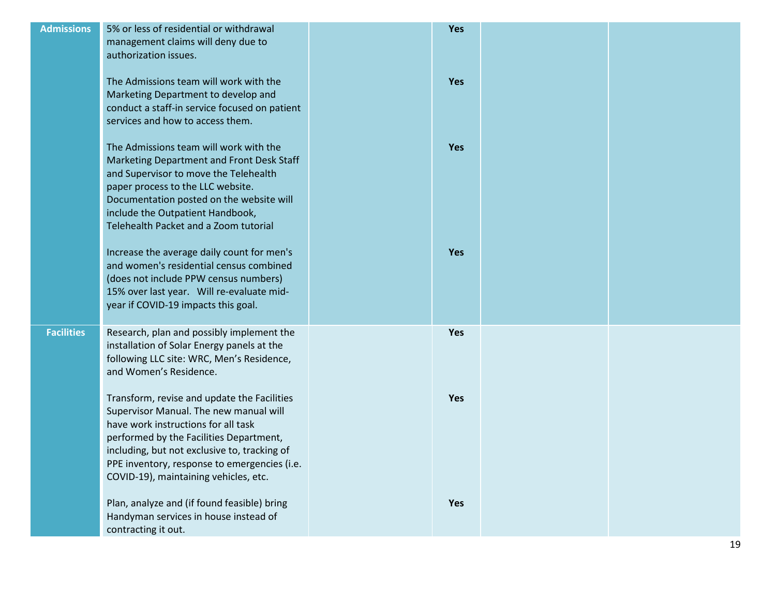| <b>Admissions</b> | 5% or less of residential or withdrawal<br>management claims will deny due to<br>authorization issues.                                                                                                                                                                                                           | Yes        |  |
|-------------------|------------------------------------------------------------------------------------------------------------------------------------------------------------------------------------------------------------------------------------------------------------------------------------------------------------------|------------|--|
|                   | The Admissions team will work with the<br>Marketing Department to develop and<br>conduct a staff-in service focused on patient<br>services and how to access them.                                                                                                                                               | Yes        |  |
|                   | The Admissions team will work with the<br>Marketing Department and Front Desk Staff<br>and Supervisor to move the Telehealth<br>paper process to the LLC website.<br>Documentation posted on the website will<br>include the Outpatient Handbook,<br>Telehealth Packet and a Zoom tutorial                       | Yes        |  |
|                   | Increase the average daily count for men's<br>and women's residential census combined<br>(does not include PPW census numbers)<br>15% over last year. Will re-evaluate mid-<br>year if COVID-19 impacts this goal.                                                                                               | <b>Yes</b> |  |
| <b>Facilities</b> | Research, plan and possibly implement the<br>installation of Solar Energy panels at the<br>following LLC site: WRC, Men's Residence,<br>and Women's Residence.                                                                                                                                                   | Yes        |  |
|                   | Transform, revise and update the Facilities<br>Supervisor Manual. The new manual will<br>have work instructions for all task<br>performed by the Facilities Department,<br>including, but not exclusive to, tracking of<br>PPE inventory, response to emergencies (i.e.<br>COVID-19), maintaining vehicles, etc. | Yes        |  |
|                   | Plan, analyze and (if found feasible) bring<br>Handyman services in house instead of<br>contracting it out.                                                                                                                                                                                                      | Yes        |  |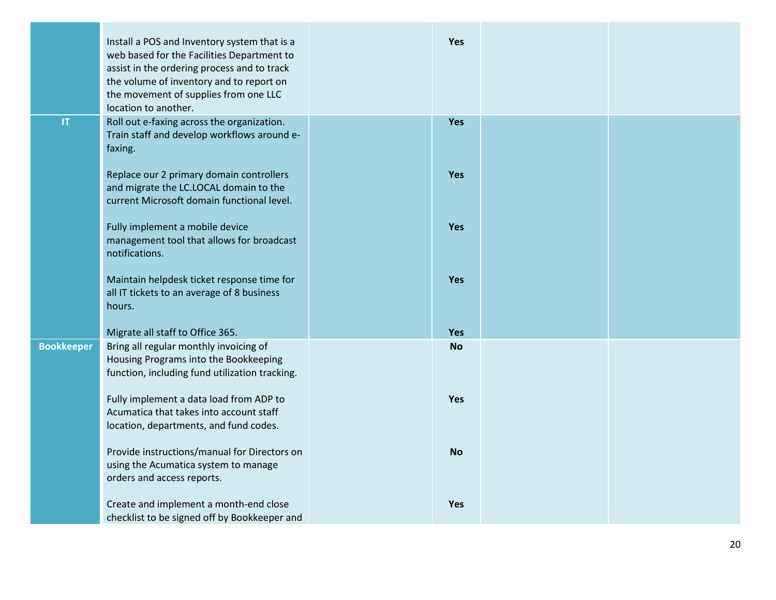|                        | Install a POS and Inventory system that is a<br>web based for the Facilities Department to<br>assist in the ordering process and to track<br>the volume of inventory and to report on<br>the movement of supplies from one LLC<br>location to another. | <b>Yes</b> |  |
|------------------------|--------------------------------------------------------------------------------------------------------------------------------------------------------------------------------------------------------------------------------------------------------|------------|--|
| $\mathsf{I}\mathsf{T}$ | Roll out e-faxing across the organization.<br>Train staff and develop workflows around e-<br>faxing.                                                                                                                                                   | Yes        |  |
|                        | Replace our 2 primary domain controllers<br>and migrate the LC.LOCAL domain to the<br>current Microsoft domain functional level.                                                                                                                       | <b>Yes</b> |  |
|                        | Fully implement a mobile device<br>management tool that allows for broadcast<br>notifications.                                                                                                                                                         | Yes        |  |
|                        | Maintain helpdesk ticket response time for<br>all IT tickets to an average of 8 business<br>hours.                                                                                                                                                     | <b>Yes</b> |  |
|                        | Migrate all staff to Office 365.                                                                                                                                                                                                                       | <b>Yes</b> |  |
| <b>Bookkeeper</b>      | Bring all regular monthly invoicing of<br>Housing Programs into the Bookkeeping<br>function, including fund utilization tracking.                                                                                                                      | <b>No</b>  |  |
|                        | Fully implement a data load from ADP to<br>Acumatica that takes into account staff<br>location, departments, and fund codes.                                                                                                                           | <b>Yes</b> |  |
|                        | Provide instructions/manual for Directors on<br>using the Acumatica system to manage<br>orders and access reports.                                                                                                                                     | <b>No</b>  |  |
|                        | Create and implement a month-end close<br>checklist to be signed off by Bookkeeper and                                                                                                                                                                 | <b>Yes</b> |  |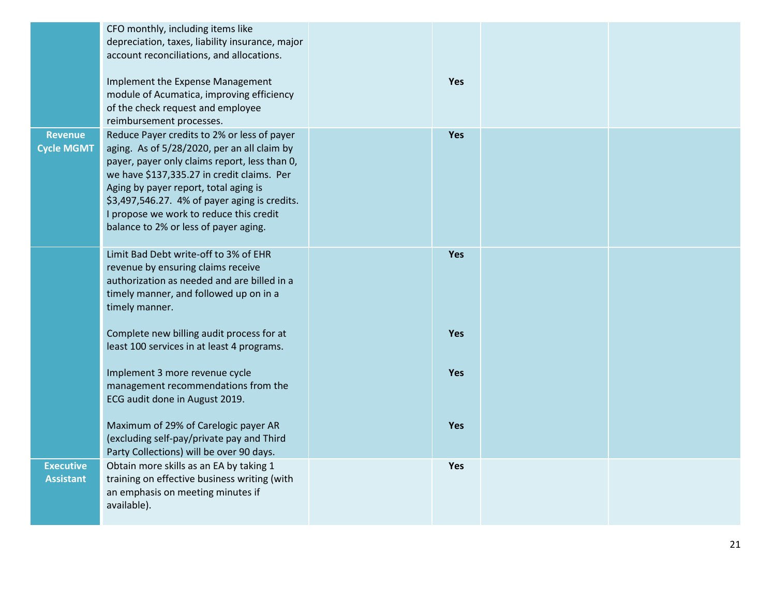|                                      | CFO monthly, including items like<br>depreciation, taxes, liability insurance, major<br>account reconciliations, and allocations.                                                                                                                                                                                                                                                                   |            |  |
|--------------------------------------|-----------------------------------------------------------------------------------------------------------------------------------------------------------------------------------------------------------------------------------------------------------------------------------------------------------------------------------------------------------------------------------------------------|------------|--|
|                                      | Implement the Expense Management<br>module of Acumatica, improving efficiency<br>of the check request and employee                                                                                                                                                                                                                                                                                  | Yes        |  |
| <b>Revenue</b><br><b>Cycle MGMT</b>  | reimbursement processes.<br>Reduce Payer credits to 2% or less of payer<br>aging. As of 5/28/2020, per an all claim by<br>payer, payer only claims report, less than 0,<br>we have \$137,335.27 in credit claims. Per<br>Aging by payer report, total aging is<br>\$3,497,546.27. 4% of payer aging is credits.<br>I propose we work to reduce this credit<br>balance to 2% or less of payer aging. | Yes        |  |
|                                      | Limit Bad Debt write-off to 3% of EHR<br>revenue by ensuring claims receive<br>authorization as needed and are billed in a<br>timely manner, and followed up on in a<br>timely manner.                                                                                                                                                                                                              | <b>Yes</b> |  |
|                                      | Complete new billing audit process for at<br>least 100 services in at least 4 programs.                                                                                                                                                                                                                                                                                                             | Yes        |  |
|                                      | Implement 3 more revenue cycle<br>management recommendations from the<br>ECG audit done in August 2019.                                                                                                                                                                                                                                                                                             | <b>Yes</b> |  |
|                                      | Maximum of 29% of Carelogic payer AR<br>(excluding self-pay/private pay and Third<br>Party Collections) will be over 90 days.                                                                                                                                                                                                                                                                       | <b>Yes</b> |  |
| <b>Executive</b><br><b>Assistant</b> | Obtain more skills as an EA by taking 1<br>training on effective business writing (with<br>an emphasis on meeting minutes if<br>available).                                                                                                                                                                                                                                                         | <b>Yes</b> |  |